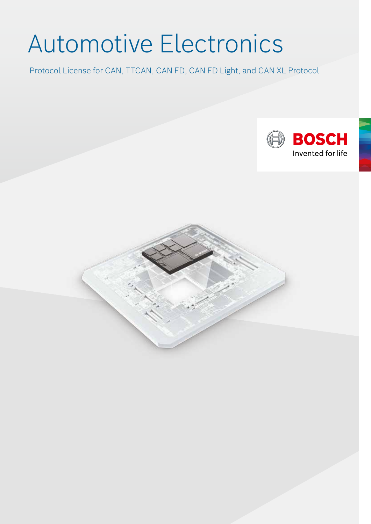# Automotive Electronics

Protocol License for CAN, TTCAN, CAN FD, CAN FD Light, and CAN XL Protocol